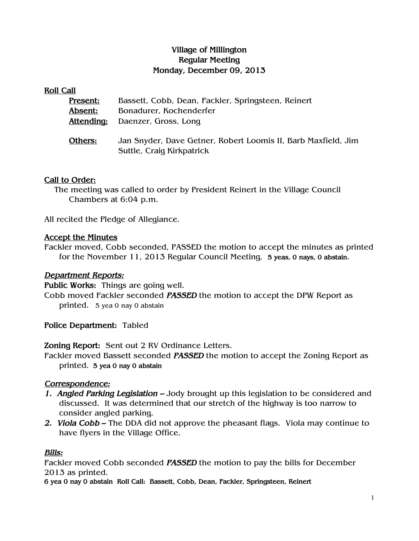# Village of Millington Regular Meeting Monday, December 09, 2013

#### Roll Call

| Present:   | Bassett, Cobb, Dean, Fackler, Springsteen, Reinert                                         |
|------------|--------------------------------------------------------------------------------------------|
| Absent:    | Bonadurer, Kochenderfer                                                                    |
| Attending: | Daenzer, Gross, Long                                                                       |
| Others:    | Jan Snyder, Dave Getner, Robert Loomis II, Barb Maxfield, Jim<br>Suttle, Craig Kirkpatrick |

### Call to Order:

The meeting was called to order by President Reinert in the Village Council Chambers at 6:04 p.m.

All recited the Pledge of Allegiance.

### Accept the Minutes

Fackler moved, Cobb seconded, PASSED the motion to accept the minutes as printed for the November 11, 2013 Regular Council Meeting. 5 yeas, 0 nays, 0 abstain.

### Department Reports:

Public Works: Things are going well. Cobb moved Fackler seconded PASSED the motion to accept the DPW Report as printed. 5 yea 0 nay 0 abstain

Police Department: Tabled

Zoning Report: Sent out 2 RV Ordinance Letters.

Fackler moved Bassett seconded PASSED the motion to accept the Zoning Report as printed. 5 yea 0 nay 0 abstain

## Correspondence:

- 1. Angled Parking Legislation Jody brought up this legislation to be considered and discussed. It was determined that our stretch of the highway is too narrow to consider angled parking.
- 2. Viola Cobb The DDA did not approve the pheasant flags. Viola may continue to have flyers in the Village Office.

### Bills:

Fackler moved Cobb seconded **PASSED** the motion to pay the bills for December 2013 as printed.

6 yea 0 nay 0 abstain Roll Call: Bassett, Cobb, Dean, Fackler, Springsteen, Reinert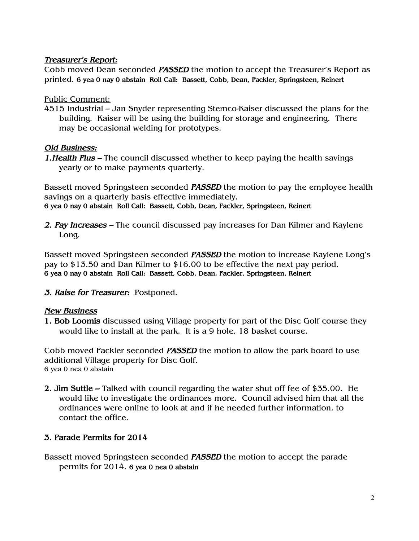# Treasurer's Report:

Cobb moved Dean seconded PASSED the motion to accept the Treasurer's Report as printed. 6 yea 0 nay 0 abstain Roll Call: Bassett, Cobb, Dean, Fackler, Springsteen, Reinert

# Public Comment:

4515 Industrial – Jan Snyder representing Stemco-Kaiser discussed the plans for the building. Kaiser will be using the building for storage and engineering. There may be occasional welding for prototypes.

# Old Business:

1. Health Plus – The council discussed whether to keep paying the health savings yearly or to make payments quarterly.

Bassett moved Springsteen seconded **PASSED** the motion to pay the employee health savings on a quarterly basis effective immediately. 6 yea 0 nay 0 abstain Roll Call: Bassett, Cobb, Dean, Fackler, Springsteen, Reinert

2. Pay Increases – The council discussed pay increases for Dan Kilmer and Kaylene Long.

Bassett moved Springsteen seconded **PASSED** the motion to increase Kaylene Long's pay to \$13.50 and Dan Kilmer to \$16.00 to be effective the next pay period. 6 yea 0 nay 0 abstain Roll Call: Bassett, Cobb, Dean, Fackler, Springsteen, Reinert

## 3. Raise for Treasurer: Postponed.

## New Business

1. Bob Loomis discussed using Village property for part of the Disc Golf course they would like to install at the park. It is a 9 hole, 18 basket course.

Cobb moved Fackler seconded PASSED the motion to allow the park board to use additional Village property for Disc Golf. 6 yea 0 nea 0 abstain

2. Jim Suttle – Talked with council regarding the water shut off fee of \$35.00. He would like to investigate the ordinances more. Council advised him that all the ordinances were online to look at and if he needed further information, to contact the office.

## 3. Parade Permits for 2014

Bassett moved Springsteen seconded PASSED the motion to accept the parade permits for 2014. 6 yea 0 nea 0 abstain